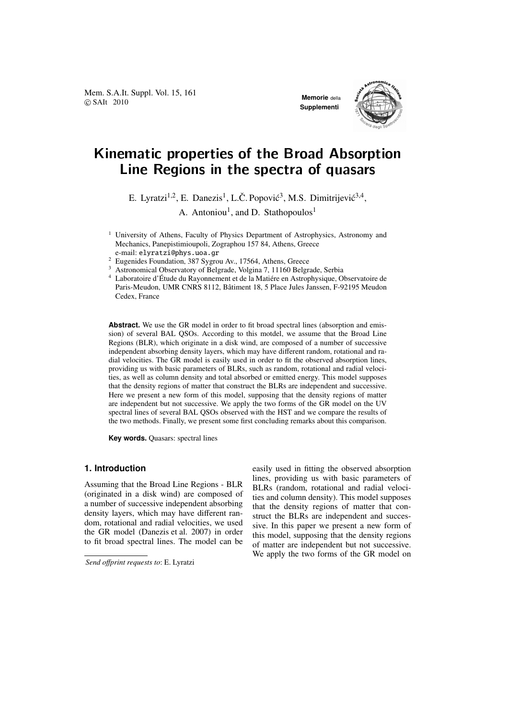Mem. S.A.It. Suppl. Vol. 15, 161 **COVIDENCE COVIDENCE ACCORDING MEMORIE** COVID-12010



# Kinematic properties of the Broad Absorption Line Regions in the spectra of quasars

E. Lyratzi<sup>1,2</sup>, E. Danezis<sup>1</sup>, L.Č. Popović<sup>3</sup>, M.S. Dimitrijević<sup>3,4</sup>,

A. Antoniou<sup>1</sup>, and D. Stathopoulos<sup>1</sup>

- <sup>1</sup> University of Athens, Faculty of Physics Department of Astrophysics, Astronomy and Mechanics, Panepistimioupoli, Zographou 157 84, Athens, Greece e-mail: elyratzi@phys.uoa.gr
- <sup>2</sup> Eugenides Foundation, 387 Sygrou Av., 17564, Athens, Greece
- <sup>3</sup> Astronomical Observatory of Belgrade, Volgina 7, 11160 Belgrade, Serbia

<sup>4</sup> Laboratoire d'Étude du Rayonnement et de la Matiére en Astrophysique, Observatoire de Paris-Meudon, UMR CNRS 8112, Batiment 18, 5 Place Jules Janssen, F-92195 Meudon ˆ Cedex, France

**Abstract.** We use the GR model in order to fit broad spectral lines (absorption and emission) of several BAL QSOs. According to this motdel, we assume that the Broad Line Regions (BLR), which originate in a disk wind, are composed of a number of successive independent absorbing density layers, which may have different random, rotational and radial velocities. The GR model is easily used in order to fit the observed absorption lines, providing us with basic parameters of BLRs, such as random, rotational and radial velocities, as well as column density and total absorbed or emitted energy. This model supposes that the density regions of matter that construct the BLRs are independent and successive. Here we present a new form of this model, supposing that the density regions of matter are independent but not successive. We apply the two forms of the GR model on the UV spectral lines of several BAL QSOs observed with the HST and we compare the results of the two methods. Finally, we present some first concluding remarks about this comparison.

**Key words.** Quasars: spectral lines

# **1. Introduction**

Assuming that the Broad Line Regions - BLR (originated in a disk wind) are composed of a number of successive independent absorbing density layers, which may have different random, rotational and radial velocities, we used the GR model (Danezis et al. 2007) in order to fit broad spectral lines. The model can be easily used in fitting the observed absorption lines, providing us with basic parameters of BLRs (random, rotational and radial velocities and column density). This model supposes that the density regions of matter that construct the BLRs are independent and successive. In this paper we present a new form of this model, supposing that the density regions of matter are independent but not successive. We apply the two forms of the GR model on

*Send o*ff*print requests to*: E. Lyratzi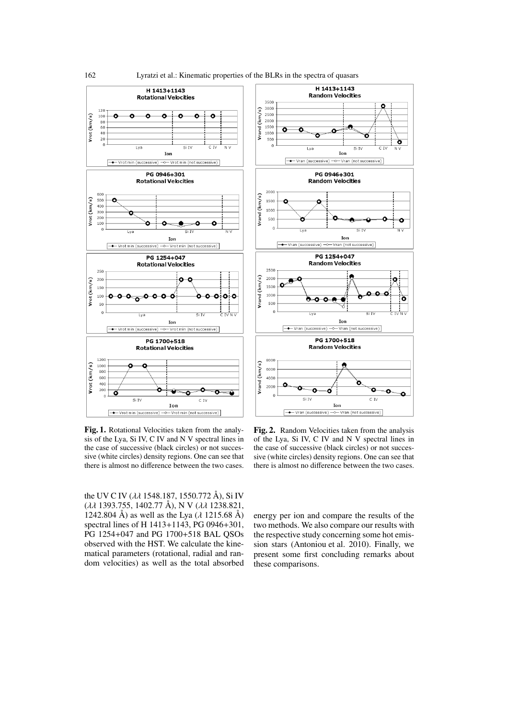

Fig. 1. Rotational Velocities taken from the analysis of the Lya, Si IV, C IV and N V spectral lines in the case of successive (black circles) or not successive (white circles) density regions. One can see that there is almost no difference between the two cases.

the UV C IV ( $\lambda \lambda$  1548.187, 1550.772 Å), Si IV (λλ 1393.755, 1402.77 Å), N V (λλ 1238.821, 1242.804 Å) as well as the Lya ( $\lambda$  1215.68 Å) spectral lines of H 1413+1143, PG 0946+301, PG 1254+047 and PG 1700+518 BAL QSOs observed with the HST. We calculate the kinematical parameters (rotational, radial and random velocities) as well as the total absorbed

Fig. 2. Random Velocities taken from the analysis of the Lya, Si IV, C IV and N V spectral lines in the case of successive (black circles) or not successive (white circles) density regions. One can see that there is almost no difference between the two cases.

energy per ion and compare the results of the two methods. We also compare our results with the respective study concerning some hot emission stars (Antoniou et al. 2010). Finally, we present some first concluding remarks about these comparisons.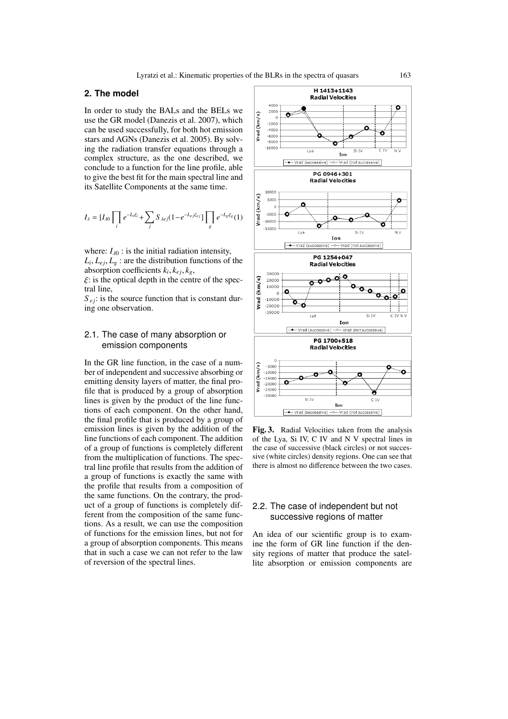# **2. The model**

In order to study the BALs and the BELs we use the GR model (Danezis et al. 2007), which can be used successfully, for both hot emission stars and AGNs (Danezis et al. 2005). By solving the radiation transfer equations through a complex structure, as the one described, we conclude to a function for the line profile, able to give the best fit for the main spectral line and its Satellite Components at the same time.

$$
I_{\lambda} = [I_{\lambda 0} \prod_{i} e^{-L_{i} \xi_{i}} + \sum_{j} S_{\lambda e j} (1 - e^{-L_{e j} \xi_{e j}}) \prod_{g} e^{-L_{g} \xi_{g}} (1)
$$

where:  $I_{\lambda 0}$  : is the initial radiation intensity,  $L_i, L_{ej}, L_g$ : are the distribution functions of the absorption coefficients  $k_i, k_{ej}, k_g$ ,

 $\xi$ : is the optical depth in the centre of the spectral line,

 $S_{ei}$ : is the source function that is constant during one observation.

# 2.1. The case of many absorption or emission components

In the GR line function, in the case of a number of independent and successive absorbing or emitting density layers of matter, the final profile that is produced by a group of absorption lines is given by the product of the line functions of each component. On the other hand, the final profile that is produced by a group of emission lines is given by the addition of the line functions of each component. The addition of a group of functions is completely different from the multiplication of functions. The spectral line profile that results from the addition of a group of functions is exactly the same with the profile that results from a composition of the same functions. On the contrary, the product of a group of functions is completely different from the composition of the same functions. As a result, we can use the composition of functions for the emission lines, but not for a group of absorption components. This means that in such a case we can not refer to the law of reversion of the spectral lines.



Fig. 3. Radial Velocities taken from the analysis of the Lya, Si IV, C IV and N V spectral lines in the case of successive (black circles) or not successive (white circles) density regions. One can see that there is almost no difference between the two cases.

# 2.2. The case of independent but not successive regions of matter

An idea of our scientific group is to examine the form of GR line function if the density regions of matter that produce the satellite absorption or emission components are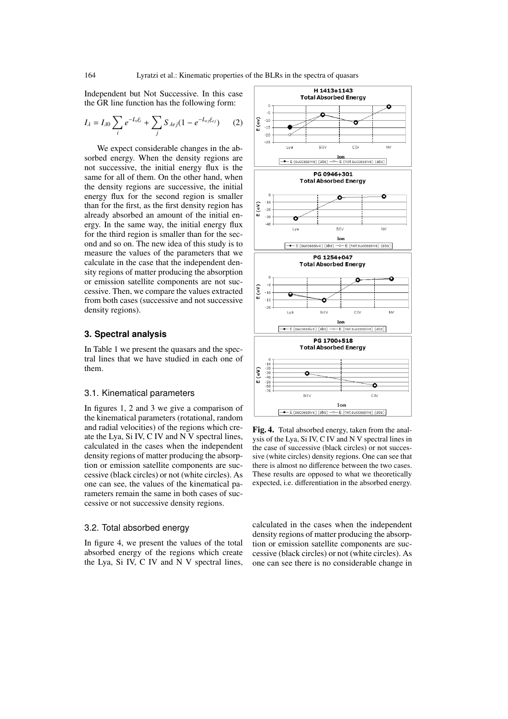Independent but Not Successive. In this case the GR line function has the following form:

$$
I_{\lambda} = I_{\lambda 0} \sum_{i} e^{-L_{i} \xi_{i}} + \sum_{j} S_{\lambda ej} (1 - e^{-L_{ej} \xi_{ej}})
$$
 (2)

We expect considerable changes in the absorbed energy. When the density regions are not successive, the initial energy flux is the same for all of them. On the other hand, when the density regions are successive, the initial energy flux for the second region is smaller than for the first, as the first density region has already absorbed an amount of the initial energy. In the same way, the initial energy flux for the third region is smaller than for the second and so on. The new idea of this study is to measure the values of the parameters that we calculate in the case that the independent density regions of matter producing the absorption or emission satellite components are not successive. Then, we compare the values extracted from both cases (successive and not successive density regions).

# **3. Spectral analysis**

In Table 1 we present the quasars and the spectral lines that we have studied in each one of them.

#### 3.1. Kinematical parameters

In figures 1, 2 and 3 we give a comparison of the kinematical parameters (rotational, random and radial velocities) of the regions which create the Lya, Si IV, C IV and  $\overline{N}$  v spectral lines, calculated in the cases when the independent density regions of matter producing the absorption or emission satellite components are successive (black circles) or not (white circles). As one can see, the values of the kinematical parameters remain the same in both cases of successive or not successive density regions.

# 3.2. Total absorbed energy

In figure 4, we present the values of the total absorbed energy of the regions which create the Lya, Si IV, C IV and N V spectral lines,



Fig. 4. Total absorbed energy, taken from the analysis of the Lya, Si IV, C IV and N V spectral lines in the case of successive (black circles) or not successive (white circles) density regions. One can see that there is almost no difference between the two cases. These results are opposed to what we theoretically expected, i.e. differentiation in the absorbed energy.

calculated in the cases when the independent density regions of matter producing the absorption or emission satellite components are successive (black circles) or not (white circles). As one can see there is no considerable change in